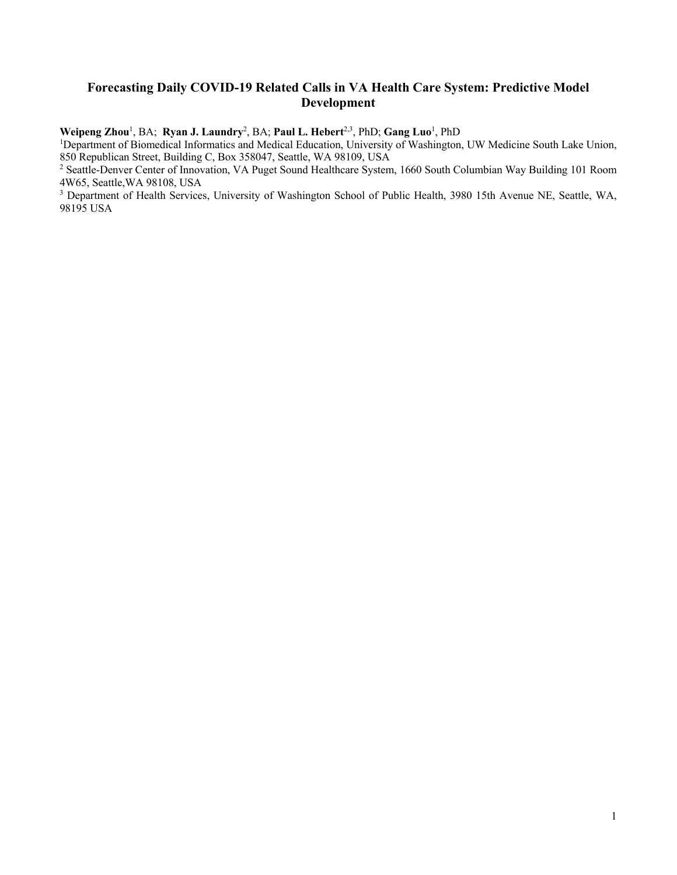# **Forecasting Daily COVID-19 Related Calls in VA Health Care System: Predictive Model Development**

**Weipeng Zhou**<sup>1</sup> , BA; **Ryan J. Laundry**<sup>2</sup> , BA; **Paul L. Hebert**2,3, PhD; **Gang Luo**<sup>1</sup> , PhD

<sup>1</sup>Department of Biomedical Informatics and Medical Education, University of Washington, UW Medicine South Lake Union, 850 Republican Street, Building C, Box 358047, Seattle, WA 98109, USA

<sup>2</sup> Seattle-Denver Center of Innovation, VA Puget Sound Healthcare System, 1660 South Columbian Way Building 101 Room 4W65, Seattle,WA 98108, USA

<sup>3</sup> Department of Health Services, University of Washington School of Public Health, 3980 15th Avenue NE, Seattle, WA, 98195 USA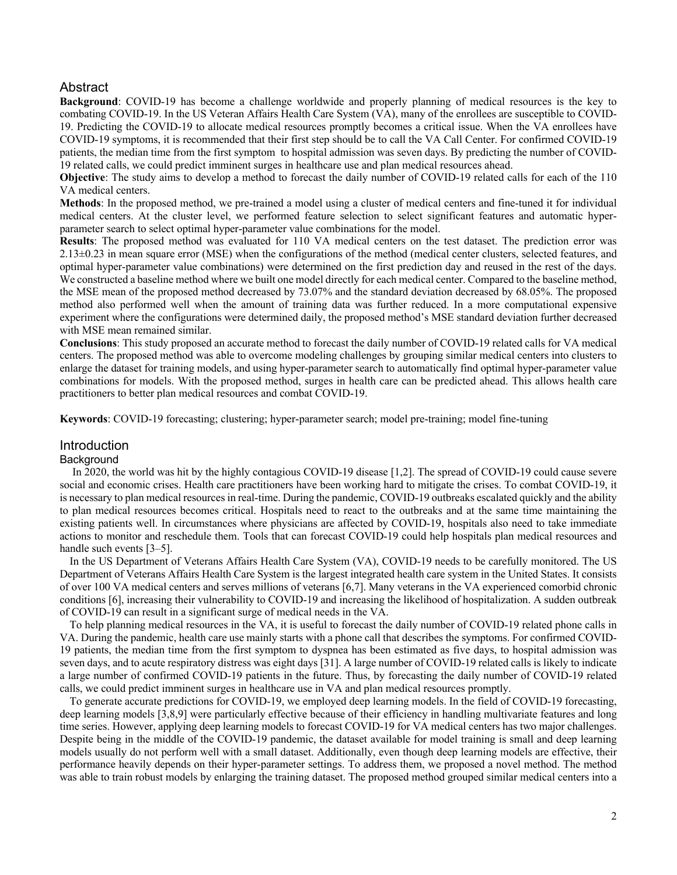# Abstract

**Background**: COVID-19 has become a challenge worldwide and properly planning of medical resources is the key to combating COVID-19. In the US Veteran Affairs Health Care System (VA), many of the enrollees are susceptible to COVID-19. Predicting the COVID-19 to allocate medical resources promptly becomes a critical issue. When the VA enrollees have COVID-19 symptoms, it is recommended that their first step should be to call the VA Call Center. For confirmed COVID-19 patients, the median time from the first symptom to hospital admission was seven days. By predicting the number of COVID-19 related calls, we could predict imminent surges in healthcare use and plan medical resources ahead.

**Objective**: The study aims to develop a method to forecast the daily number of COVID-19 related calls for each of the 110 VA medical centers.

**Methods**: In the proposed method, we pre-trained a model using a cluster of medical centers and fine-tuned it for individual medical centers. At the cluster level, we performed feature selection to select significant features and automatic hyperparameter search to select optimal hyper-parameter value combinations for the model.

**Results**: The proposed method was evaluated for 110 VA medical centers on the test dataset. The prediction error was 2.13±0.23 in mean square error (MSE) when the configurations of the method (medical center clusters, selected features, and optimal hyper-parameter value combinations) were determined on the first prediction day and reused in the rest of the days. We constructed a baseline method where we built one model directly for each medical center. Compared to the baseline method, the MSE mean of the proposed method decreased by 73.07% and the standard deviation decreased by 68.05%. The proposed method also performed well when the amount of training data was further reduced. In a more computational expensive experiment where the configurations were determined daily, the proposed method's MSE standard deviation further decreased with MSE mean remained similar.

**Conclusions**: This study proposed an accurate method to forecast the daily number of COVID-19 related calls for VA medical centers. The proposed method was able to overcome modeling challenges by grouping similar medical centers into clusters to enlarge the dataset for training models, and using hyper-parameter search to automatically find optimal hyper-parameter value combinations for models. With the proposed method, surges in health care can be predicted ahead. This allows health care practitioners to better plan medical resources and combat COVID-19.

**Keywords**: COVID-19 forecasting; clustering; hyper-parameter search; model pre-training; model fine-tuning

#### **Introduction**

#### **Background**

In 2020, the world was hit by the highly contagious COVID-19 disease [1,2]. The spread of COVID-19 could cause severe social and economic crises. Health care practitioners have been working hard to mitigate the crises. To combat COVID-19, it is necessary to plan medical resources in real-time. During the pandemic, COVID-19 outbreaks escalated quickly and the ability to plan medical resources becomes critical. Hospitals need to react to the outbreaks and at the same time maintaining the existing patients well. In circumstances where physicians are affected by COVID-19, hospitals also need to take immediate actions to monitor and reschedule them. Tools that can forecast COVID-19 could help hospitals plan medical resources and handle such events [3–5].

In the US Department of Veterans Affairs Health Care System (VA), COVID-19 needs to be carefully monitored. The US Department of Veterans Affairs Health Care System is the largest integrated health care system in the United States. It consists of over 100 VA medical centers and serves millions of veterans [6,7]. Many veterans in the VA experienced comorbid chronic conditions [6], increasing their vulnerability to COVID-19 and increasing the likelihood of hospitalization. A sudden outbreak of COVID-19 can result in a significant surge of medical needs in the VA.

To help planning medical resources in the VA, it is useful to forecast the daily number of COVID-19 related phone calls in VA. During the pandemic, health care use mainly starts with a phone call that describes the symptoms. For confirmed COVID-19 patients, the median time from the first symptom to dyspnea has been estimated as five days, to hospital admission was seven days, and to acute respiratory distress was eight days [31]. A large number of COVID-19 related calls is likely to indicate a large number of confirmed COVID-19 patients in the future. Thus, by forecasting the daily number of COVID-19 related calls, we could predict imminent surges in healthcare use in VA and plan medical resources promptly.

To generate accurate predictions for COVID-19, we employed deep learning models. In the field of COVID-19 forecasting, deep learning models [3,8,9] were particularly effective because of their efficiency in handling multivariate features and long time series. However, applying deep learning models to forecast COVID-19 for VA medical centers has two major challenges. Despite being in the middle of the COVID-19 pandemic, the dataset available for model training is small and deep learning models usually do not perform well with a small dataset. Additionally, even though deep learning models are effective, their performance heavily depends on their hyper-parameter settings. To address them, we proposed a novel method. The method was able to train robust models by enlarging the training dataset. The proposed method grouped similar medical centers into a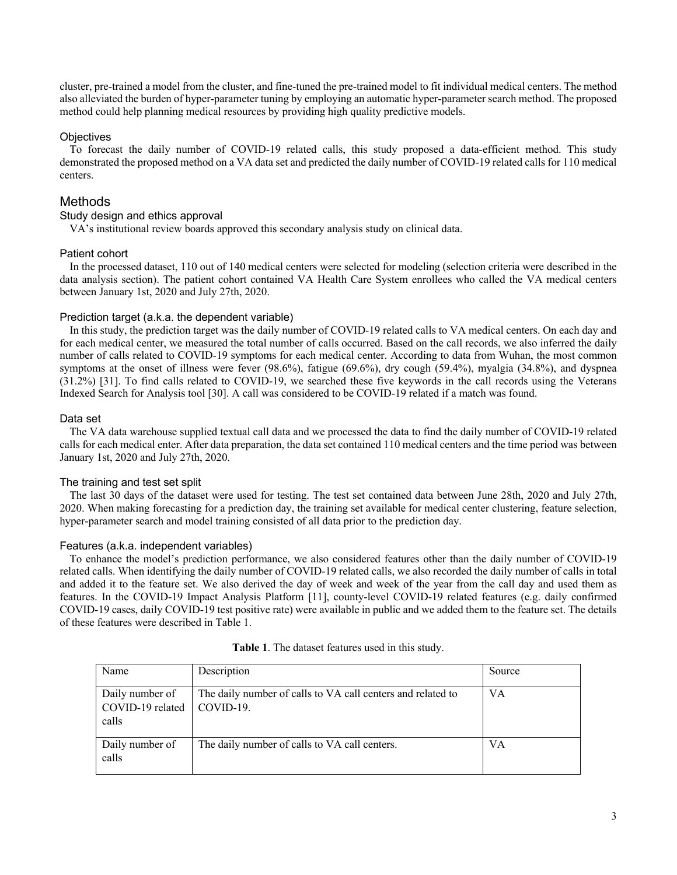cluster, pre-trained a model from the cluster, and fine-tuned the pre-trained model to fit individual medical centers. The method also alleviated the burden of hyper-parameter tuning by employing an automatic hyper-parameter search method. The proposed method could help planning medical resources by providing high quality predictive models.

# **Objectives**

To forecast the daily number of COVID-19 related calls, this study proposed a data-efficient method. This study demonstrated the proposed method on a VA data set and predicted the daily number of COVID-19 related calls for 110 medical centers.

# Methods

### Study design and ethics approval

VA's institutional review boards approved this secondary analysis study on clinical data.

# Patient cohort

In the processed dataset, 110 out of 140 medical centers were selected for modeling (selection criteria were described in the data analysis section). The patient cohort contained VA Health Care System enrollees who called the VA medical centers between January 1st, 2020 and July 27th, 2020.

### Prediction target (a.k.a. the dependent variable)

In this study, the prediction target was the daily number of COVID-19 related calls to VA medical centers. On each day and for each medical center, we measured the total number of calls occurred. Based on the call records, we also inferred the daily number of calls related to COVID-19 symptoms for each medical center. According to data from Wuhan, the most common symptoms at the onset of illness were fever (98.6%), fatigue (69.6%), dry cough (59.4%), myalgia (34.8%), and dyspnea (31.2%) [31]. To find calls related to COVID-19, we searched these five keywords in the call records using the Veterans Indexed Search for Analysis tool [30]. A call was considered to be COVID-19 related if a match was found.

# Data set

The VA data warehouse supplied textual call data and we processed the data to find the daily number of COVID-19 related calls for each medical enter. After data preparation, the data set contained 110 medical centers and the time period was between January 1st, 2020 and July 27th, 2020.

# The training and test set split

The last 30 days of the dataset were used for testing. The test set contained data between June 28th, 2020 and July 27th, 2020. When making forecasting for a prediction day, the training set available for medical center clustering, feature selection, hyper-parameter search and model training consisted of all data prior to the prediction day.

# Features (a.k.a. independent variables)

To enhance the model's prediction performance, we also considered features other than the daily number of COVID-19 related calls. When identifying the daily number of COVID-19 related calls, we also recorded the daily number of calls in total and added it to the feature set. We also derived the day of week and week of the year from the call day and used them as features. In the COVID-19 Impact Analysis Platform [11], county-level COVID-19 related features (e.g. daily confirmed COVID-19 cases, daily COVID-19 test positive rate) were available in public and we added them to the feature set. The details of these features were described in Table 1.

| Name                                                             | Description                                                 | Source |
|------------------------------------------------------------------|-------------------------------------------------------------|--------|
| Daily number of<br>$COVID-19$ related $\vert$ COVID-19.<br>calls | The daily number of calls to VA call centers and related to | VА     |
| Daily number of<br>calls                                         | The daily number of calls to VA call centers.               | VА     |

| Table 1. The dataset features used in this study. |  |
|---------------------------------------------------|--|
|---------------------------------------------------|--|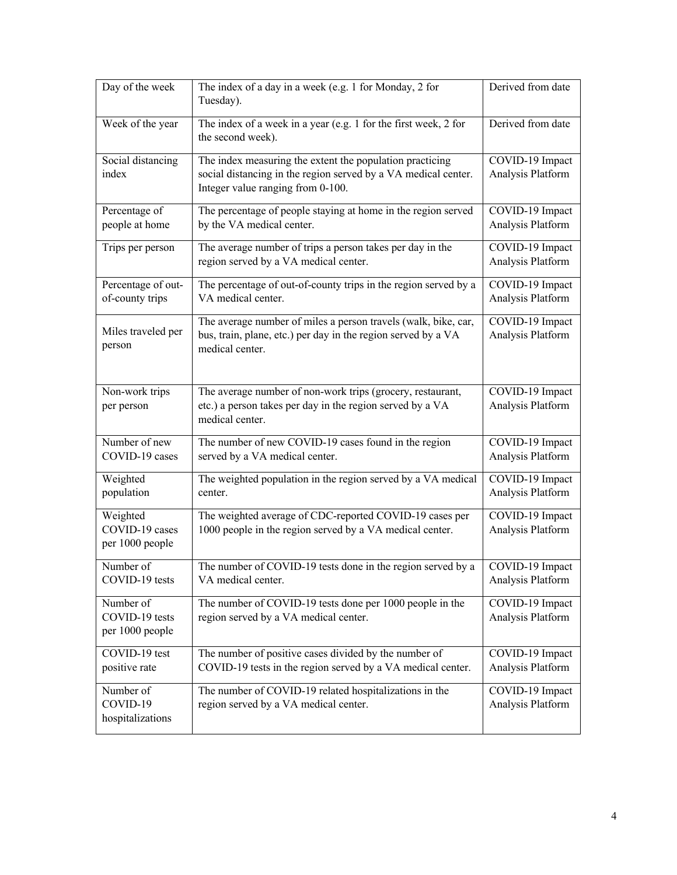| Day of the week                                | The index of a day in a week (e.g. 1 for Monday, 2 for<br>Tuesday).                                                                                             | Derived from date                    |
|------------------------------------------------|-----------------------------------------------------------------------------------------------------------------------------------------------------------------|--------------------------------------|
| Week of the year                               | The index of a week in a year (e.g. 1 for the first week, 2 for<br>the second week).                                                                            | Derived from date                    |
| Social distancing<br>index                     | The index measuring the extent the population practicing<br>social distancing in the region served by a VA medical center.<br>Integer value ranging from 0-100. | COVID-19 Impact<br>Analysis Platform |
| Percentage of<br>people at home                | The percentage of people staying at home in the region served<br>by the VA medical center.                                                                      | COVID-19 Impact<br>Analysis Platform |
| Trips per person                               | The average number of trips a person takes per day in the<br>region served by a VA medical center.                                                              | COVID-19 Impact<br>Analysis Platform |
| Percentage of out-<br>of-county trips          | The percentage of out-of-county trips in the region served by a<br>VA medical center.                                                                           | COVID-19 Impact<br>Analysis Platform |
| Miles traveled per<br>person                   | The average number of miles a person travels (walk, bike, car,<br>bus, train, plane, etc.) per day in the region served by a VA<br>medical center.              | COVID-19 Impact<br>Analysis Platform |
| Non-work trips<br>per person                   | The average number of non-work trips (grocery, restaurant,<br>etc.) a person takes per day in the region served by a VA<br>medical center.                      | COVID-19 Impact<br>Analysis Platform |
| Number of new<br>COVID-19 cases                | The number of new COVID-19 cases found in the region<br>served by a VA medical center.                                                                          | COVID-19 Impact<br>Analysis Platform |
| Weighted<br>population                         | The weighted population in the region served by a $V\overline{A}$ medical<br>center.                                                                            | COVID-19 Impact<br>Analysis Platform |
| Weighted<br>COVID-19 cases<br>per 1000 people  | The weighted average of CDC-reported COVID-19 cases per<br>1000 people in the region served by a VA medical center.                                             | COVID-19 Impact<br>Analysis Platform |
| Number of<br>COVID-19 tests                    | The number of COVID-19 tests done in the region served by a<br>VA medical center.                                                                               | COVID-19 Impact<br>Analysis Platform |
| Number of<br>COVID-19 tests<br>per 1000 people | The number of COVID-19 tests done per 1000 people in the<br>region served by a VA medical center.                                                               | COVID-19 Impact<br>Analysis Platform |
| COVID-19 test<br>positive rate                 | The number of positive cases divided by the number of<br>COVID-19 tests in the region served by a VA medical center.                                            | COVID-19 Impact<br>Analysis Platform |
| Number of<br>COVID-19<br>hospitalizations      | The number of COVID-19 related hospitalizations in the<br>region served by a VA medical center.                                                                 | COVID-19 Impact<br>Analysis Platform |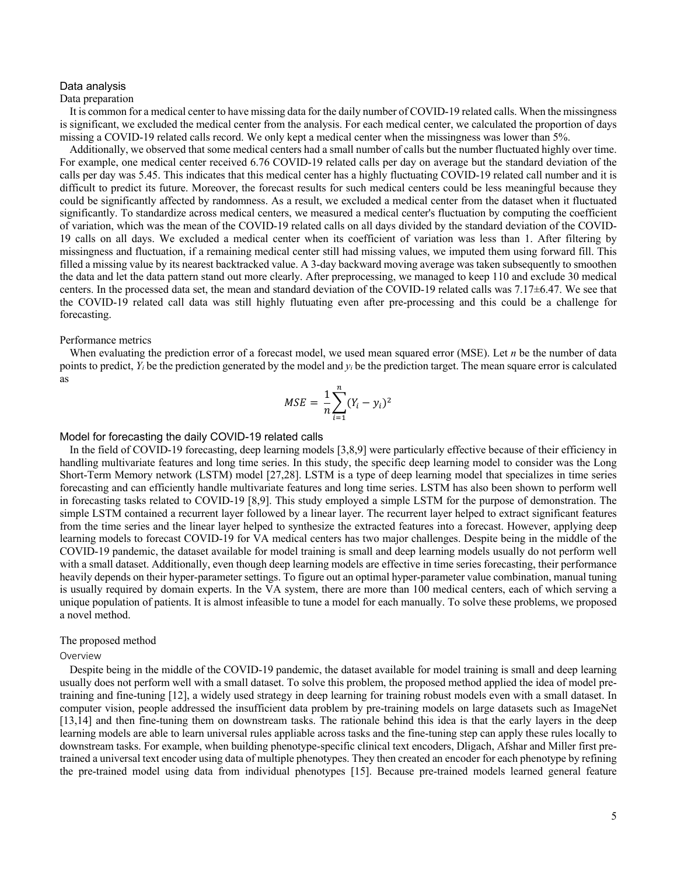#### Data analysis

### Data preparation

It is common for a medical center to have missing data for the daily number of COVID-19 related calls. When the missingness is significant, we excluded the medical center from the analysis. For each medical center, we calculated the proportion of days missing a COVID-19 related calls record. We only kept a medical center when the missingness was lower than 5%.

Additionally, we observed that some medical centers had a small number of calls but the number fluctuated highly over time. For example, one medical center received 6.76 COVID-19 related calls per day on average but the standard deviation of the calls per day was 5.45. This indicates that this medical center has a highly fluctuating COVID-19 related call number and it is difficult to predict its future. Moreover, the forecast results for such medical centers could be less meaningful because they could be significantly affected by randomness. As a result, we excluded a medical center from the dataset when it fluctuated significantly. To standardize across medical centers, we measured a medical center's fluctuation by computing the coefficient of variation, which was the mean of the COVID-19 related calls on all days divided by the standard deviation of the COVID-19 calls on all days. We excluded a medical center when its coefficient of variation was less than 1. After filtering by missingness and fluctuation, if a remaining medical center still had missing values, we imputed them using forward fill. This filled a missing value by its nearest backtracked value. A 3-day backward moving average was taken subsequently to smoothen the data and let the data pattern stand out more clearly. After preprocessing, we managed to keep 110 and exclude 30 medical centers. In the processed data set, the mean and standard deviation of the COVID-19 related calls was 7.17±6.47. We see that the COVID-19 related call data was still highly flutuating even after pre-processing and this could be a challenge for forecasting.

#### Performance metrics

When evaluating the prediction error of a forecast model, we used mean squared error (MSE). Let *n* be the number of data points to predict,  $Y_i$  be the prediction generated by the model and  $y_i$  be the prediction target. The mean square error is calculated as

$$
MSE = \frac{1}{n} \sum_{i=1}^{n} (Y_i - y_i)^2
$$

### Model for forecasting the daily COVID-19 related calls

In the field of COVID-19 forecasting, deep learning models [3,8,9] were particularly effective because of their efficiency in handling multivariate features and long time series. In this study, the specific deep learning model to consider was the Long Short-Term Memory network (LSTM) model [27,28]. LSTM is a type of deep learning model that specializes in time series forecasting and can efficiently handle multivariate features and long time series. LSTM has also been shown to perform well in forecasting tasks related to COVID-19 [8,9]. This study employed a simple LSTM for the purpose of demonstration. The simple LSTM contained a recurrent layer followed by a linear layer. The recurrent layer helped to extract significant features from the time series and the linear layer helped to synthesize the extracted features into a forecast. However, applying deep learning models to forecast COVID-19 for VA medical centers has two major challenges. Despite being in the middle of the COVID-19 pandemic, the dataset available for model training is small and deep learning models usually do not perform well with a small dataset. Additionally, even though deep learning models are effective in time series forecasting, their performance heavily depends on their hyper-parameter settings. To figure out an optimal hyper-parameter value combination, manual tuning is usually required by domain experts. In the VA system, there are more than 100 medical centers, each of which serving a unique population of patients. It is almost infeasible to tune a model for each manually. To solve these problems, we proposed a novel method.

#### The proposed method

#### Overview

Despite being in the middle of the COVID-19 pandemic, the dataset available for model training is small and deep learning usually does not perform well with a small dataset. To solve this problem, the proposed method applied the idea of model pretraining and fine-tuning [12], a widely used strategy in deep learning for training robust models even with a small dataset. In computer vision, people addressed the insufficient data problem by pre-training models on large datasets such as ImageNet [13,14] and then fine-tuning them on downstream tasks. The rationale behind this idea is that the early layers in the deep learning models are able to learn universal rules appliable across tasks and the fine-tuning step can apply these rules locally to downstream tasks. For example, when building phenotype-specific clinical text encoders, Dligach, Afshar and Miller first pretrained a universal text encoder using data of multiple phenotypes. They then created an encoder for each phenotype by refining the pre-trained model using data from individual phenotypes [15]. Because pre-trained models learned general feature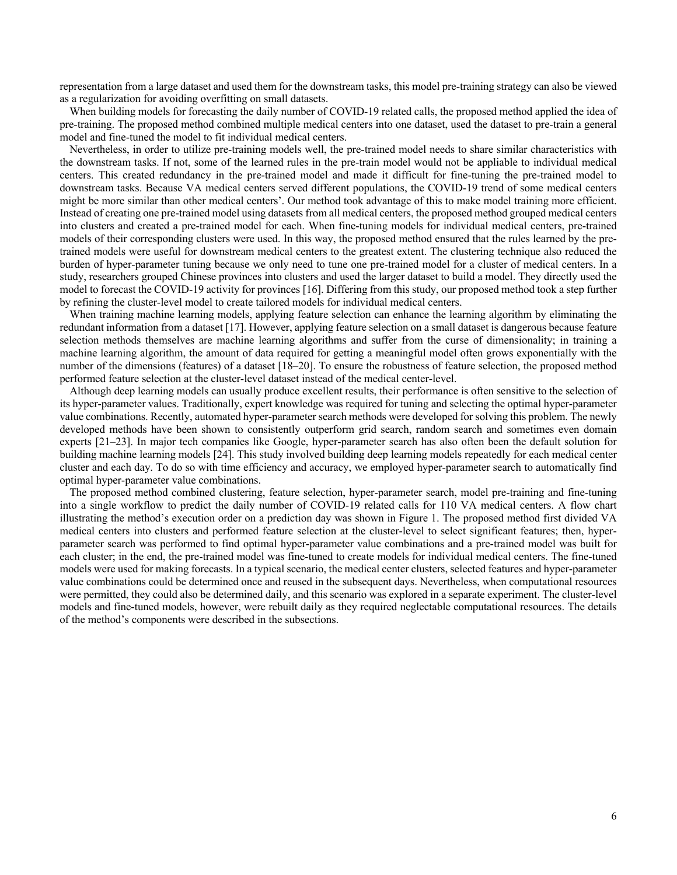representation from a large dataset and used them for the downstream tasks, this model pre-training strategy can also be viewed as a regularization for avoiding overfitting on small datasets.

When building models for forecasting the daily number of COVID-19 related calls, the proposed method applied the idea of pre-training. The proposed method combined multiple medical centers into one dataset, used the dataset to pre-train a general model and fine-tuned the model to fit individual medical centers.

Nevertheless, in order to utilize pre-training models well, the pre-trained model needs to share similar characteristics with the downstream tasks. If not, some of the learned rules in the pre-train model would not be appliable to individual medical centers. This created redundancy in the pre-trained model and made it difficult for fine-tuning the pre-trained model to downstream tasks. Because VA medical centers served different populations, the COVID-19 trend of some medical centers might be more similar than other medical centers'. Our method took advantage of this to make model training more efficient. Instead of creating one pre-trained model using datasets from all medical centers, the proposed method grouped medical centers into clusters and created a pre-trained model for each. When fine-tuning models for individual medical centers, pre-trained models of their corresponding clusters were used. In this way, the proposed method ensured that the rules learned by the pretrained models were useful for downstream medical centers to the greatest extent. The clustering technique also reduced the burden of hyper-parameter tuning because we only need to tune one pre-trained model for a cluster of medical centers. In a study, researchers grouped Chinese provinces into clusters and used the larger dataset to build a model. They directly used the model to forecast the COVID-19 activity for provinces [16]. Differing from this study, our proposed method took a step further by refining the cluster-level model to create tailored models for individual medical centers.

When training machine learning models, applying feature selection can enhance the learning algorithm by eliminating the redundant information from a dataset [17]. However, applying feature selection on a small dataset is dangerous because feature selection methods themselves are machine learning algorithms and suffer from the curse of dimensionality; in training a machine learning algorithm, the amount of data required for getting a meaningful model often grows exponentially with the number of the dimensions (features) of a dataset [18–20]. To ensure the robustness of feature selection, the proposed method performed feature selection at the cluster-level dataset instead of the medical center-level.

Although deep learning models can usually produce excellent results, their performance is often sensitive to the selection of its hyper-parameter values. Traditionally, expert knowledge was required for tuning and selecting the optimal hyper-parameter value combinations. Recently, automated hyper-parameter search methods were developed for solving this problem. The newly developed methods have been shown to consistently outperform grid search, random search and sometimes even domain experts [21–23]. In major tech companies like Google, hyper-parameter search has also often been the default solution for building machine learning models [24]. This study involved building deep learning models repeatedly for each medical center cluster and each day. To do so with time efficiency and accuracy, we employed hyper-parameter search to automatically find optimal hyper-parameter value combinations.

The proposed method combined clustering, feature selection, hyper-parameter search, model pre-training and fine-tuning into a single workflow to predict the daily number of COVID-19 related calls for 110 VA medical centers. A flow chart illustrating the method's execution order on a prediction day was shown in Figure 1. The proposed method first divided VA medical centers into clusters and performed feature selection at the cluster-level to select significant features; then, hyperparameter search was performed to find optimal hyper-parameter value combinations and a pre-trained model was built for each cluster; in the end, the pre-trained model was fine-tuned to create models for individual medical centers. The fine-tuned models were used for making forecasts. In a typical scenario, the medical center clusters, selected features and hyper-parameter value combinations could be determined once and reused in the subsequent days. Nevertheless, when computational resources were permitted, they could also be determined daily, and this scenario was explored in a separate experiment. The cluster-level models and fine-tuned models, however, were rebuilt daily as they required neglectable computational resources. The details of the method's components were described in the subsections.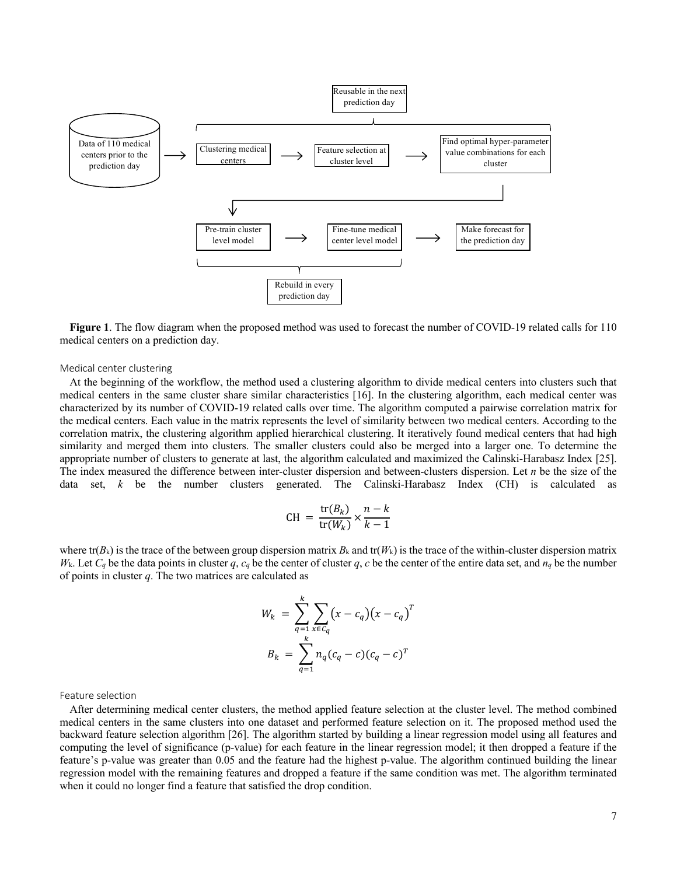

**Figure 1**. The flow diagram when the proposed method was used to forecast the number of COVID-19 related calls for 110 medical centers on a prediction day.

#### Medical center clustering

At the beginning of the workflow, the method used a clustering algorithm to divide medical centers into clusters such that medical centers in the same cluster share similar characteristics [16]. In the clustering algorithm, each medical center was characterized by its number of COVID-19 related calls over time. The algorithm computed a pairwise correlation matrix for the medical centers. Each value in the matrix represents the level of similarity between two medical centers. According to the correlation matrix, the clustering algorithm applied hierarchical clustering. It iteratively found medical centers that had high similarity and merged them into clusters. The smaller clusters could also be merged into a larger one. To determine the appropriate number of clusters to generate at last, the algorithm calculated and maximized the Calinski-Harabasz Index [25]. The index measured the difference between inter-cluster dispersion and between-clusters dispersion. Let *n* be the size of the data set,  $k$  be the number clusters generated. The Calinski-Harabasz Index (CH) is calculated

$$
CH = \frac{\text{tr}(B_k)}{\text{tr}(W_k)} \times \frac{n-k}{k-1}
$$

where tr( $B_k$ ) is the trace of the between group dispersion matrix  $B_k$  and tr( $W_k$ ) is the trace of the within-cluster dispersion matrix *W*<sub>k</sub>. Let  $C_q$  be the data points in cluster *q*,  $c_q$  be the center of cluster *q*, *c* be the center of the entire data set, and  $n_q$  be the number of points in cluster *q*. The two matrices are calculated as

$$
W_k = \sum_{q=1}^k \sum_{x \in C_q} (x - c_q)(x - c_q)^T
$$
  

$$
B_k = \sum_{q=1}^k n_q (c_q - c)(c_q - c)^T
$$

Feature selection

After determining medical center clusters, the method applied feature selection at the cluster level. The method combined medical centers in the same clusters into one dataset and performed feature selection on it. The proposed method used the backward feature selection algorithm [26]. The algorithm started by building a linear regression model using all features and computing the level of significance (p-value) for each feature in the linear regression model; it then dropped a feature if the feature's p-value was greater than 0.05 and the feature had the highest p-value. The algorithm continued building the linear regression model with the remaining features and dropped a feature if the same condition was met. The algorithm terminated when it could no longer find a feature that satisfied the drop condition.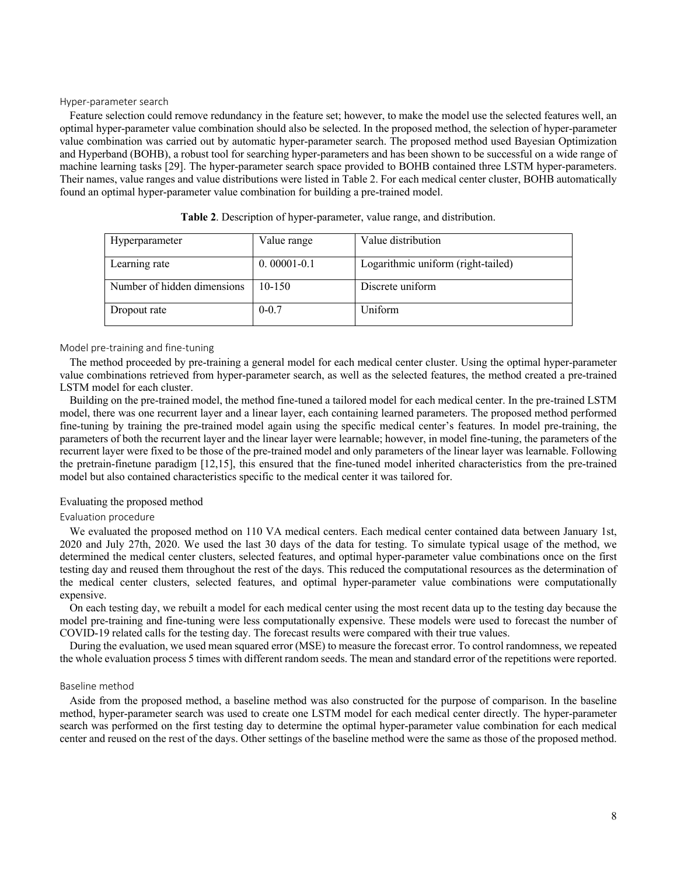#### Hyper-parameter search

Feature selection could remove redundancy in the feature set; however, to make the model use the selected features well, an optimal hyper-parameter value combination should also be selected. In the proposed method, the selection of hyper-parameter value combination was carried out by automatic hyper-parameter search. The proposed method used Bayesian Optimization and Hyperband (BOHB), a robust tool for searching hyper-parameters and has been shown to be successful on a wide range of machine learning tasks [29]. The hyper-parameter search space provided to BOHB contained three LSTM hyper-parameters. Their names, value ranges and value distributions were listed in Table 2. For each medical center cluster, BOHB automatically found an optimal hyper-parameter value combination for building a pre-trained model.

| Hyperparameter              | Value range     | Value distribution                 |
|-----------------------------|-----------------|------------------------------------|
|                             |                 |                                    |
| Learning rate               | $0.00001 - 0.1$ | Logarithmic uniform (right-tailed) |
| Number of hidden dimensions | $10 - 150$      | Discrete uniform                   |
| Dropout rate                | $0 - 0.7$       | Uniform                            |

**Table 2**. Description of hyper-parameter, value range, and distribution.

#### Model pre-training and fine-tuning

The method proceeded by pre-training a general model for each medical center cluster. Using the optimal hyper-parameter value combinations retrieved from hyper-parameter search, as well as the selected features, the method created a pre-trained LSTM model for each cluster.

Building on the pre-trained model, the method fine-tuned a tailored model for each medical center. In the pre-trained LSTM model, there was one recurrent layer and a linear layer, each containing learned parameters. The proposed method performed fine-tuning by training the pre-trained model again using the specific medical center's features. In model pre-training, the parameters of both the recurrent layer and the linear layer were learnable; however, in model fine-tuning, the parameters of the recurrent layer were fixed to be those of the pre-trained model and only parameters of the linear layer was learnable. Following the pretrain-finetune paradigm [12,15], this ensured that the fine-tuned model inherited characteristics from the pre-trained model but also contained characteristics specific to the medical center it was tailored for.

#### Evaluating the proposed method

#### Evaluation procedure

We evaluated the proposed method on 110 VA medical centers. Each medical center contained data between January 1st, 2020 and July 27th, 2020. We used the last 30 days of the data for testing. To simulate typical usage of the method, we determined the medical center clusters, selected features, and optimal hyper-parameter value combinations once on the first testing day and reused them throughout the rest of the days. This reduced the computational resources as the determination of the medical center clusters, selected features, and optimal hyper-parameter value combinations were computationally expensive.

On each testing day, we rebuilt a model for each medical center using the most recent data up to the testing day because the model pre-training and fine-tuning were less computationally expensive. These models were used to forecast the number of COVID-19 related calls for the testing day. The forecast results were compared with their true values.

During the evaluation, we used mean squared error (MSE) to measure the forecast error. To control randomness, we repeated the whole evaluation process 5 times with different random seeds. The mean and standard error of the repetitions were reported.

#### Baseline method

Aside from the proposed method, a baseline method was also constructed for the purpose of comparison. In the baseline method, hyper-parameter search was used to create one LSTM model for each medical center directly. The hyper-parameter search was performed on the first testing day to determine the optimal hyper-parameter value combination for each medical center and reused on the rest of the days. Other settings of the baseline method were the same as those of the proposed method.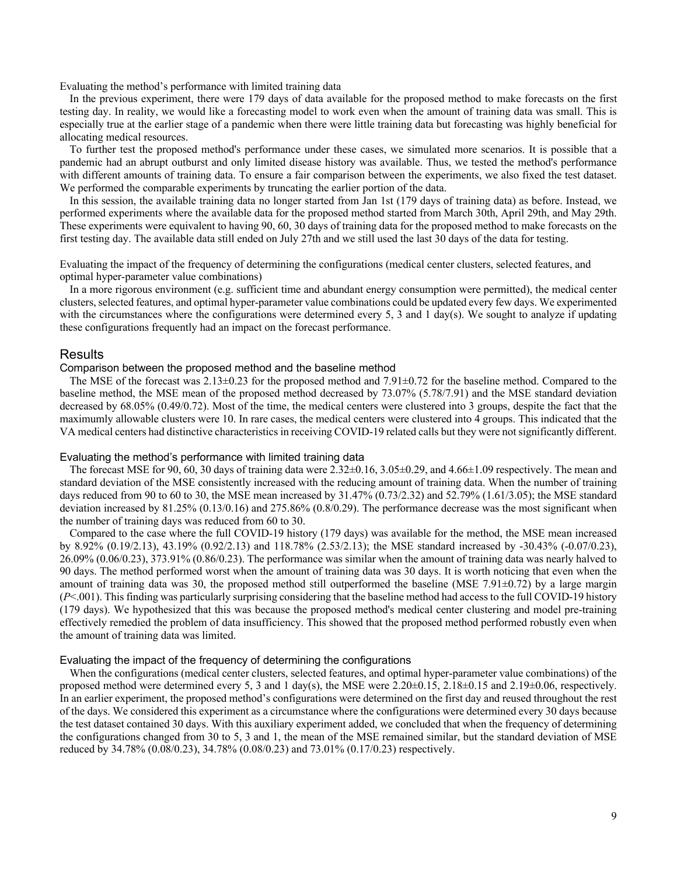Evaluating the method's performance with limited training data

In the previous experiment, there were 179 days of data available for the proposed method to make forecasts on the first testing day. In reality, we would like a forecasting model to work even when the amount of training data was small. This is especially true at the earlier stage of a pandemic when there were little training data but forecasting was highly beneficial for allocating medical resources.

To further test the proposed method's performance under these cases, we simulated more scenarios. It is possible that a pandemic had an abrupt outburst and only limited disease history was available. Thus, we tested the method's performance with different amounts of training data. To ensure a fair comparison between the experiments, we also fixed the test dataset. We performed the comparable experiments by truncating the earlier portion of the data.

In this session, the available training data no longer started from Jan 1st (179 days of training data) as before. Instead, we performed experiments where the available data for the proposed method started from March 30th, April 29th, and May 29th. These experiments were equivalent to having 90, 60, 30 days of training data for the proposed method to make forecasts on the first testing day. The available data still ended on July 27th and we still used the last 30 days of the data for testing.

Evaluating the impact of the frequency of determining the configurations (medical center clusters, selected features, and optimal hyper-parameter value combinations)

In a more rigorous environment (e.g. sufficient time and abundant energy consumption were permitted), the medical center clusters, selected features, and optimal hyper-parameter value combinations could be updated every few days. We experimented with the circumstances where the configurations were determined every 5, 3 and 1 day(s). We sought to analyze if updating these configurations frequently had an impact on the forecast performance.

#### Results

### Comparison between the proposed method and the baseline method

The MSE of the forecast was  $2.13\pm0.23$  for the proposed method and  $7.91\pm0.72$  for the baseline method. Compared to the baseline method, the MSE mean of the proposed method decreased by 73.07% (5.78/7.91) and the MSE standard deviation decreased by 68.05% (0.49/0.72). Most of the time, the medical centers were clustered into 3 groups, despite the fact that the maximumly allowable clusters were 10. In rare cases, the medical centers were clustered into 4 groups. This indicated that the VA medical centers had distinctive characteristics in receiving COVID-19 related calls but they were not significantly different.

#### Evaluating the method's performance with limited training data

The forecast MSE for 90, 60, 30 days of training data were  $2.32\pm0.16$ ,  $3.05\pm0.29$ , and  $4.66\pm1.09$  respectively. The mean and standard deviation of the MSE consistently increased with the reducing amount of training data. When the number of training days reduced from 90 to 60 to 30, the MSE mean increased by 31.47% (0.73/2.32) and 52.79% (1.61/3.05); the MSE standard deviation increased by 81.25% (0.13/0.16) and 275.86% (0.8/0.29). The performance decrease was the most significant when the number of training days was reduced from 60 to 30.

Compared to the case where the full COVID-19 history (179 days) was available for the method, the MSE mean increased by 8.92% (0.19/2.13), 43.19% (0.92/2.13) and 118.78% (2.53/2.13); the MSE standard increased by -30.43% (-0.07/0.23), 26.09% (0.06/0.23), 373.91% (0.86/0.23). The performance was similar when the amount of training data was nearly halved to 90 days. The method performed worst when the amount of training data was 30 days. It is worth noticing that even when the amount of training data was 30, the proposed method still outperformed the baseline (MSE 7.91 $\pm$ 0.72) by a large margin (*P*<.001). This finding was particularly surprising considering that the baseline method had access to the full COVID-19 history (179 days). We hypothesized that this was because the proposed method's medical center clustering and model pre-training effectively remedied the problem of data insufficiency. This showed that the proposed method performed robustly even when the amount of training data was limited.

### Evaluating the impact of the frequency of determining the configurations

When the configurations (medical center clusters, selected features, and optimal hyper-parameter value combinations) of the proposed method were determined every 5, 3 and 1 day(s), the MSE were  $2.20\pm0.15$ ,  $2.18\pm0.15$  and  $2.19\pm0.06$ , respectively. In an earlier experiment, the proposed method's configurations were determined on the first day and reused throughout the rest of the days. We considered this experiment as a circumstance where the configurations were determined every 30 days because the test dataset contained 30 days. With this auxiliary experiment added, we concluded that when the frequency of determining the configurations changed from 30 to 5, 3 and 1, the mean of the MSE remained similar, but the standard deviation of MSE reduced by 34.78% (0.08/0.23), 34.78% (0.08/0.23) and 73.01% (0.17/0.23) respectively.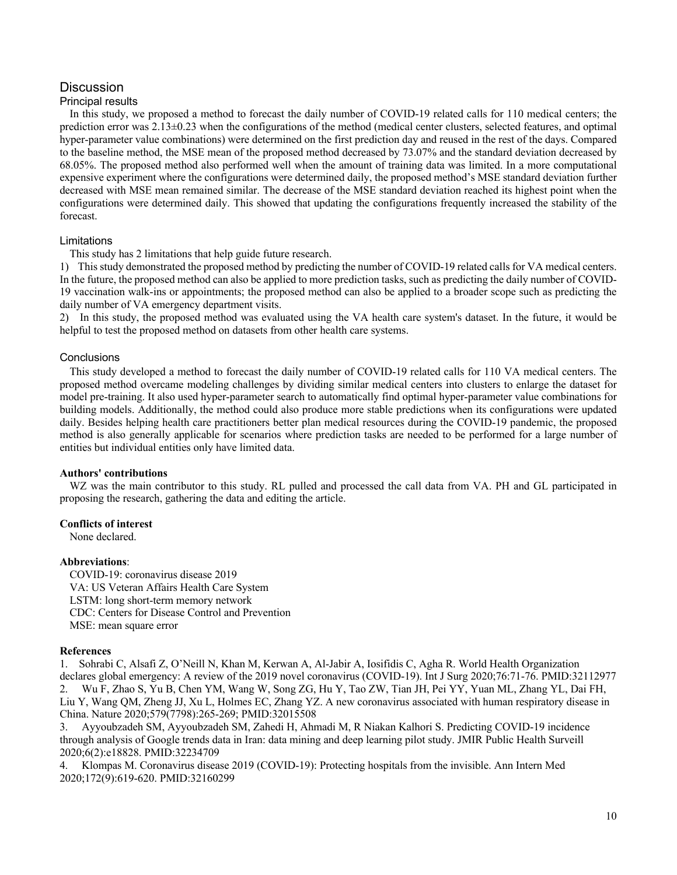# **Discussion**

### Principal results

In this study, we proposed a method to forecast the daily number of COVID-19 related calls for 110 medical centers; the prediction error was 2.13±0.23 when the configurations of the method (medical center clusters, selected features, and optimal hyper-parameter value combinations) were determined on the first prediction day and reused in the rest of the days. Compared to the baseline method, the MSE mean of the proposed method decreased by 73.07% and the standard deviation decreased by 68.05%. The proposed method also performed well when the amount of training data was limited. In a more computational expensive experiment where the configurations were determined daily, the proposed method's MSE standard deviation further decreased with MSE mean remained similar. The decrease of the MSE standard deviation reached its highest point when the configurations were determined daily. This showed that updating the configurations frequently increased the stability of the forecast.

### Limitations

This study has 2 limitations that help guide future research.

1) This study demonstrated the proposed method by predicting the number of COVID-19 related calls for VA medical centers. In the future, the proposed method can also be applied to more prediction tasks, such as predicting the daily number of COVID-19 vaccination walk-ins or appointments; the proposed method can also be applied to a broader scope such as predicting the daily number of VA emergency department visits.

2) In this study, the proposed method was evaluated using the VA health care system's dataset. In the future, it would be helpful to test the proposed method on datasets from other health care systems.

# **Conclusions**

This study developed a method to forecast the daily number of COVID-19 related calls for 110 VA medical centers. The proposed method overcame modeling challenges by dividing similar medical centers into clusters to enlarge the dataset for model pre-training. It also used hyper-parameter search to automatically find optimal hyper-parameter value combinations for building models. Additionally, the method could also produce more stable predictions when its configurations were updated daily. Besides helping health care practitioners better plan medical resources during the COVID-19 pandemic, the proposed method is also generally applicable for scenarios where prediction tasks are needed to be performed for a large number of entities but individual entities only have limited data.

### **Authors' contributions**

WZ was the main contributor to this study. RL pulled and processed the call data from VA. PH and GL participated in proposing the research, gathering the data and editing the article.

# **Conflicts of interest**

None declared.

### **Abbreviations**:

COVID-19: coronavirus disease 2019 VA: US Veteran Affairs Health Care System LSTM: long short-term memory network CDC: Centers for Disease Control and Prevention MSE: mean square error

### **References**

1. Sohrabi C, Alsafi Z, O'Neill N, Khan M, Kerwan A, Al-Jabir A, Iosifidis C, Agha R. World Health Organization declares global emergency: A review of the 2019 novel coronavirus (COVID-19). Int J Surg 2020;76:71-76. PMID:32112977 2. Wu F, Zhao S, Yu B, Chen YM, Wang W, Song ZG, Hu Y, Tao ZW, Tian JH, Pei YY, Yuan ML, Zhang YL, Dai FH, Liu Y, Wang QM, Zheng JJ, Xu L, Holmes EC, Zhang YZ. A new coronavirus associated with human respiratory disease in China. Nature 2020;579(7798):265-269; PMID:32015508

3. Ayyoubzadeh SM, Ayyoubzadeh SM, Zahedi H, Ahmadi M, R Niakan Kalhori S. Predicting COVID-19 incidence through analysis of Google trends data in Iran: data mining and deep learning pilot study. JMIR Public Health Surveill 2020;6(2):e18828. PMID:32234709

4. Klompas M. Coronavirus disease 2019 (COVID-19): Protecting hospitals from the invisible. Ann Intern Med 2020;172(9):619-620. PMID:32160299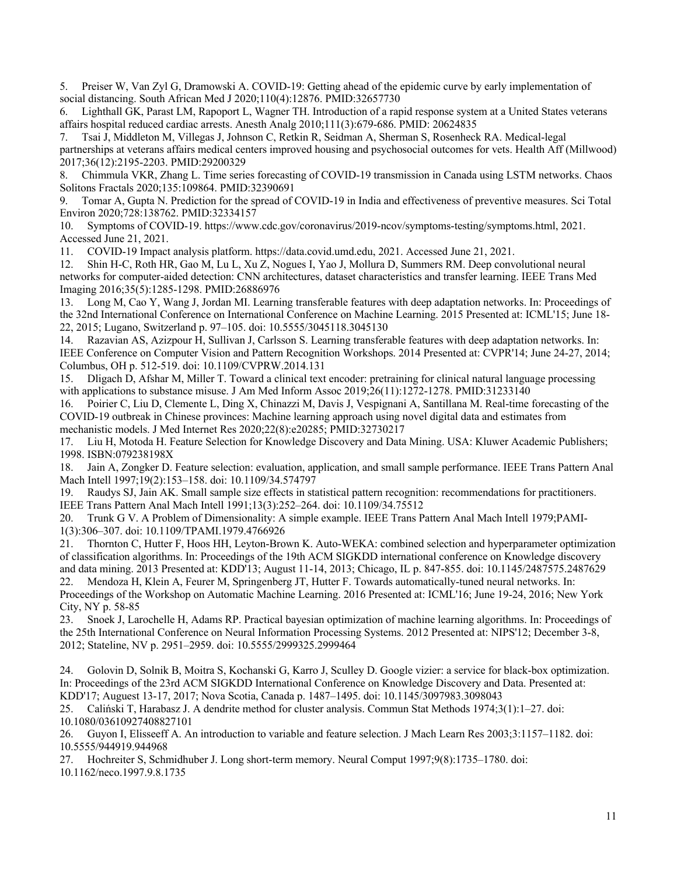5. Preiser W, Van Zyl G, Dramowski A. COVID-19: Getting ahead of the epidemic curve by early implementation of social distancing. South African Med J 2020;110(4):12876. PMID:32657730

6. Lighthall GK, Parast LM, Rapoport L, Wagner TH. Introduction of a rapid response system at a United States veterans affairs hospital reduced cardiac arrests. Anesth Analg 2010;111(3):679-686. PMID: 20624835

7. Tsai J, Middleton M, Villegas J, Johnson C, Retkin R, Seidman A, Sherman S, Rosenheck RA. Medical-legal partnerships at veterans affairs medical centers improved housing and psychosocial outcomes for vets. Health Aff (Millwood) 2017;36(12):2195-2203. PMID:29200329

8. Chimmula VKR, Zhang L. Time series forecasting of COVID-19 transmission in Canada using LSTM networks. Chaos Solitons Fractals 2020;135:109864. PMID:32390691

9. Tomar A, Gupta N. Prediction for the spread of COVID-19 in India and effectiveness of preventive measures. Sci Total Environ 2020;728:138762. PMID:32334157

10. Symptoms of COVID-19. https://www.cdc.gov/coronavirus/2019-ncov/symptoms-testing/symptoms.html, 2021. Accessed June 21, 2021.

11. COVID-19 Impact analysis platform. https://data.covid.umd.edu, 2021. Accessed June 21, 2021.

12. Shin H-C, Roth HR, Gao M, Lu L, Xu Z, Nogues I, Yao J, Mollura D, Summers RM. Deep convolutional neural networks for computer-aided detection: CNN architectures, dataset characteristics and transfer learning. IEEE Trans Med Imaging 2016;35(5):1285-1298. PMID:26886976

13. Long M, Cao Y, Wang J, Jordan MI. Learning transferable features with deep adaptation networks. In: Proceedings of the 32nd International Conference on International Conference on Machine Learning. 2015 Presented at: ICML'15; June 18- 22, 2015; Lugano, Switzerland p. 97–105. doi: 10.5555/3045118.3045130

14. Razavian AS, Azizpour H, Sullivan J, Carlsson S. Learning transferable features with deep adaptation networks. In: IEEE Conference on Computer Vision and Pattern Recognition Workshops. 2014 Presented at: CVPR'14; June 24-27, 2014; Columbus, OH p. 512-519. doi: 10.1109/CVPRW.2014.131

15. Dligach D, Afshar M, Miller T. Toward a clinical text encoder: pretraining for clinical natural language processing with applications to substance misuse. J Am Med Inform Assoc 2019;26(11):1272-1278. PMID:31233140

16. Poirier C, Liu D, Clemente L, Ding X, Chinazzi M, Davis J, Vespignani A, Santillana M. Real-time forecasting of the COVID-19 outbreak in Chinese provinces: Machine learning approach using novel digital data and estimates from mechanistic models. J Med Internet Res 2020;22(8):e20285; PMID:32730217

17. Liu H, Motoda H. Feature Selection for Knowledge Discovery and Data Mining. USA: Kluwer Academic Publishers; 1998. ISBN:079238198X

18. Jain A, Zongker D. Feature selection: evaluation, application, and small sample performance. IEEE Trans Pattern Anal Mach Intell 1997;19(2):153–158. doi: 10.1109/34.574797

19. Raudys SJ, Jain AK. Small sample size effects in statistical pattern recognition: recommendations for practitioners. IEEE Trans Pattern Anal Mach Intell 1991;13(3):252–264. doi: 10.1109/34.75512

20. Trunk G V. A Problem of Dimensionality: A simple example. IEEE Trans Pattern Anal Mach Intell 1979;PAMI-1(3):306–307. doi: 10.1109/TPAMI.1979.4766926

21. Thornton C, Hutter F, Hoos HH, Leyton-Brown K. Auto-WEKA: combined selection and hyperparameter optimization of classification algorithms. In: Proceedings of the 19th ACM SIGKDD international conference on Knowledge discovery and data mining. 2013 Presented at: KDD'13; August 11-14, 2013; Chicago, IL p. 847-855. doi: 10.1145/2487575.2487629

22. Mendoza H, Klein A, Feurer M, Springenberg JT, Hutter F. Towards automatically-tuned neural networks. In: Proceedings of the Workshop on Automatic Machine Learning. 2016 Presented at: ICML'16; June 19-24, 2016; New York City, NY p. 58-85

23. Snoek J, Larochelle H, Adams RP. Practical bayesian optimization of machine learning algorithms. In: Proceedings of the 25th International Conference on Neural Information Processing Systems. 2012 Presented at: NIPS'12; December 3-8, 2012; Stateline, NV p. 2951–2959. doi: 10.5555/2999325.2999464

24. Golovin D, Solnik B, Moitra S, Kochanski G, Karro J, Sculley D. Google vizier: a service for black-box optimization. In: Proceedings of the 23rd ACM SIGKDD International Conference on Knowledge Discovery and Data. Presented at: KDD'17; Auguest 13-17, 2017; Nova Scotia, Canada p. 1487–1495. doi: 10.1145/3097983.3098043

25. Caliński T, Harabasz J. A dendrite method for cluster analysis. Commun Stat Methods 1974;3(1):1–27. doi: 10.1080/03610927408827101

26. Guyon I, Elisseeff A. An introduction to variable and feature selection. J Mach Learn Res 2003;3:1157–1182. doi: 10.5555/944919.944968

27. Hochreiter S, Schmidhuber J. Long short-term memory. Neural Comput 1997;9(8):1735–1780. doi: 10.1162/neco.1997.9.8.1735